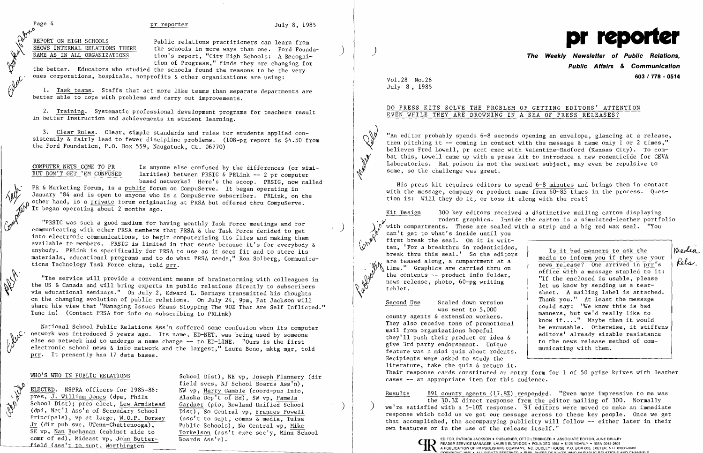Page 4 **pr reporter pr reporter** July 8, 1985

REPORT ON HIGH SCHOOLS<br>SHOWS INTERNAL RELATIONS THERE the schools in more ways than one Ford Found SHOWS INTERNAL RELATIONS THERE the schools in more ways than one. Ford Founda-<br>tion's report, "City High Schools: A Recogni-<br>tion of Progress," finds they are changing for<br>the better. Educators who studied the schools foun tion's report. "City High Schools: A Recognition of Progress," finds they are changing for

 $\mathcal{V}$  the better. Educators who studied the schools found the reasons to be the very  $\mathscr{W}^{\mathcal{C}}$  ones corporations, hospitals, nonprofits & other organizations are using:<br>1. Task <u>teams</u>. Staffs that act more like teams than separate department

1. Task teams. Staffs that act more like teams than separate departments are better able to cope with problems and carry out improvements.

COMPUTER NETS COME TO PR<br>BUT DON'T GET 'EM CONFUSED larities) between PRSIG & PRLink  $-2$  pr computer  $I$ arities) between PRSIG & PRLink -- 2 pr computer based networks? Here's the scoop. PRSIG, now called

2. Training. Systematic professional development programs for teachers result in better instruction and achievements in student learning.

PR & Marketing Forum, is a public forum on CompuServe. It began operating in January '84 and is open to anyone who is a CompuServe subscriber. PRLink, on the other hand, is a private forum originating at PRSA but offered thru CompuServe. It began operating about 2 months ago.

3. Clear Rules. Clear, simple standards and rules for students applied consistently  $\&$  fairly lead to fewer discipline problems. (108-pg report is \$4.50 from the Ford Foundation, P.O. Box 559, Naugatuck, Ct. 06770)

 $\int_{0}^{\infty}$  <sup>W</sup> <sup>"PRSIG</sup> was such a good medium for having monthly Task Force meetings and for communicating with other PRSA members that PRSA & the Task Force decided to get into electronic communications, to begin computerizing its files and making them available to members. PRSIG is limited in that sense because it's for everybody & anybody. PRLink is specifically for PRSA to use as it sees fit and to store its materials, educational programs and to do what PRSA needs," Ron Solberg, Communications Technology Task Force chrm, told prr.

## DO PRESS KITS SOLVE THE PROBLEM OF GETTING EDITORS' ATTENTION EVEN WHILE THEY ARE DROWNING IN A SEA OF PRESS RELEASES?

"An editor probably spends 6-8 seconds opening an envelope, glancing at a release,<br>then pitching it -- coming in contact with the message & name only l or 2 times," then pitching it -- coming in contact with the message & name only 1 or 2 times,"<br>believes Fred Lowell, pr acct exec with Valentine-Radford (Kansas City). To combat this, Lowell came up with a press kit to introduce a new rodenticide for CEVA Laboratories. Rat poison is not the sexiest subject, may even be repulsive to some, so the challenge was great.

~~. "The service will provide a convenient means of brainstorming with colleagues in the US & Canada and will bring experts in public relations directly to subscribers<br>
via educational seminars." On July 2, Edward L. Bernays transmitted his thoughts via educational seminars." On July 2, Edward L. Bernays transmitted his thoughts<br>on the changing evolution of public relations. On July 24, 9pm, Pat Jackson will share his view that "Managing Issues Means Stopping The 90% That Are Self Inflicted." Tune in! (Contact PRSA for info on subscribing to PRLink)

National School Public Relations Ass'n suffered some confusion when its computer<br>network was introduced 5 years ago. Its name, ED-NET, was being used by someone else so network had to undergo a name change -- to ED-LINE. "Ours is the first electronic school news & info network and the largest," Laura Bono, mktg mgr, told prr. It presently has 17 data bases.

School Dist); pres elect, Lew Armistead Gardner (pio, Rowland Unified School (dpi, Nat'l Ass'n of Secondary School Dist), So Central vp, Frances Powell<br>Principals), vp at large, W.O.P. Dorsey (ass't to supt, comns & media, Tulsa<br>Jr (dir pub svc, UTenn-Chattenooga), Public Schools), No Central vp, Jr (dir pub svc, UTenn-Chattenooga),  $SE$  vp, Nan Buchanan (cabinet aide to comr of ed), Mideast vp, John Butter- Boards Ass'n). field (ass't to supt, Worthington

Kit Design 300 key editors received a distinctive mailing carton displaying . rodent graphics. Inside the carton is a simulated-leather portfolio with compartments. These are sealed with a strip and a big red wax seal. "You can't get to what's inside until you first break the seal. On it is writ- $\begin{matrix}\n\mathbf{P}^{\mathbf{V}}\n\end{matrix}$  ten, 'For a breakthru in rodenticides,<br>break thru this seal.' So the editors media to inform you if they use your  $\begin{matrix}\n\mathbf{V}^{\mathbf{V}}\n\end{matrix}$  the value of the seal along, a compartment at a When the Craphics are carried thru on<br>the contents -- product info folder,<br>hews release, photo, 60-pg writing<br>tablet.<br>tablet.<br>tablet.<br>a mailing label is attached. Second Use Scaled down version Thank you." At least the message<br>was sent to 5,000 was subsequence of the metally like to was sent to 5,000<br>
could say: we know this is bad<br>
manners, but we'd really like to<br>
They also receive tons of promotional<br>
mail from organizations hopeful<br>
they'll push their product or idea &

WHO'S WHO IN PUBLIC RELATIONS School Dist), NE vp, Joseph Flannery (dir FIELECTED. NSPRA officers for 1985-86: NJ School Boards Ass'n),<br>
pres, J. William Jones (dpa, Phila Alaska Dep't of Ed), SW vp, Pamela<br>
School Dist); pres elect, Lew Armistead Gardner (pio, Rowland Unified School<br>
(dpi, Na Alaska Dep't of Ed), SW vp, Pamela Torkelson (ass't exec sec'y, Minn School

Vol.28 No.26<br>July 8, 1985

**Clean** 

they'll push their product or idea & to the news release method of com-<br>give 3rd party endorsement. Unique to the news release method of com-<br>feature was a mini quiz about rodents. Recipients were asked to study the literature, take the quiz & return it. Their response cards constituted an entry form for 1 of 50 prize knives with leather cases -- an appropriate item for this audience.

Results 891 county agents (17.8%) responded. "Even more impressive to me was the  $30.3\%$  direct response from the editor mailing of 300. Normally we're satisfied with a 5-10% response. 91 editors were moved to make an immediate response which told us we got our message across to these key people. Once we get that accomplished, the accompanying publicity will follow -- either later in their own features or in the use of the release itself."



# **Public Affairs & Communication 603 / 778 - <sup>0514</sup>** Vol. 28 No.26

His press kit requires editors to spend 6-8 minutes and brings them in contact with the message, company or product name from 60-85 times in the process. Question is: Will they do it, or toss it along with the rest?